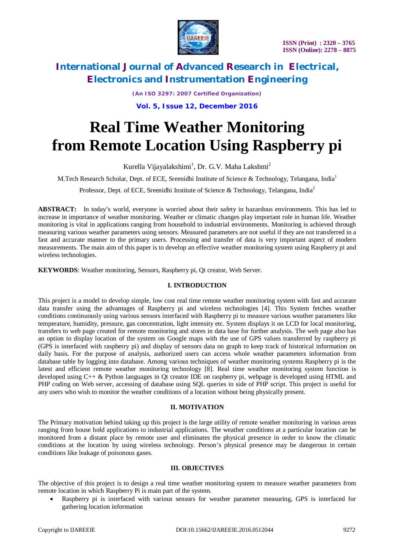

*(An ISO 3297: 2007 Certified Organization)* **Vol. 5, Issue 12, December 2016**

# **Real Time Weather Monitoring from Remote Location Using Raspberry pi**

Kurella Vijayalakshimi<sup>1</sup>, Dr. G.V. Maha Lakshmi<sup>2</sup>

M.Tech Research Scholar, Dept. of ECE, Sreenidhi Institute of Science & Technology, Telangana, India<sup>1</sup>

Professor, Dept. of ECE, Sreenidhi Institute of Science & Technology, Telangana, India<sup>2</sup>

**ABSTRACT:** In today's world, everyone is worried about their safety in hazardous environments. This has led to increase in importance of weather monitoring. Weather or climatic changes play important role in human life. Weather monitoring is vital in applications ranging from household to industrial environments. Monitoring is achieved through measuring various weather parameters using sensors. Measured parameters are not useful if they are not transferred in a fast and accurate manner to the primary users. Processing and transfer of data is very important aspect of modern measurements. The main aim of this paper is to develop an effective weather monitoring system using Raspberry pi and wireless technologies.

**KEYWORDS**: Weather monitoring, Sensors, Raspberry pi, Qt creator, Web Server.

### **I. INTRODUCTION**

This project is a model to develop simple, low cost real time remote weather monitoring system with fast and accurate data transfer using the advantages of Raspberry pi and wireless technologies [4]. This System fetches weather conditions continuously using various sensors interfaced with Raspberry pi to measure various weather parameters like temperature, humidity, pressure, gas concentration, light intensity etc. System displays it on LCD for local monitoring, transfers to web page created for remote monitoring and stores in data base for further analysis. The web page also has an option to display location of the system on Google maps with the use of GPS values transferred by raspberry pi (GPS is interfaced with raspberry pi) and display of sensors data on graph to keep track of historical information on daily basis. For the purpose of analysis, authorized users can access whole weather parameters information from database table by logging into database. Among various techniques of weather monitoring systems Raspberry pi is the latest and efficient remote weather monitoring technology [8]. Real time weather monitoring system function is developed using C++ & Python languages in Qt creator IDE on raspberry pi, webpage is developed using HTML and PHP coding on Web server, accessing of database using SQL queries in side of PHP script. This project is useful for any users who wish to monitor the weather conditions of a location without being physically present.

### **II. MOTIVATION**

The Primary motivation behind taking up this project is the large utility of remote weather monitoring in various areas ranging from house hold applications to industrial applications. The weather conditions at a particular location can be monitored from a distant place by remote user and eliminates the physical presence in order to know the climatic conditions at the location by using wireless technology. Person's physical presence may be dangerous in certain conditions like leakage of poisonous gases.

### **III. OBJECTIVES**

The objective of this project is to design a real time weather monitoring system to measure weather parameters from remote location in which Raspberry Pi is main part of the system.

 Raspberry pi is interfaced with various sensors for weather parameter measuring, GPS is interfaced for gathering location information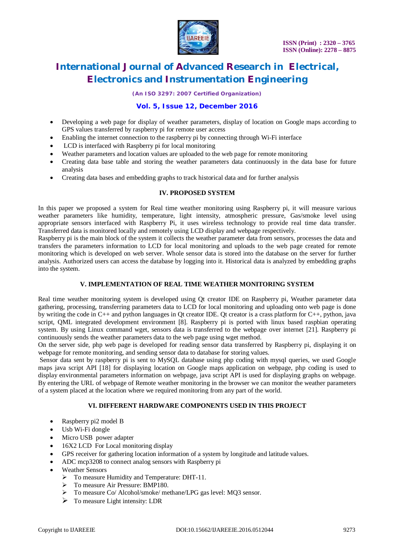

*(An ISO 3297: 2007 Certified Organization)*

### **Vol. 5, Issue 12, December 2016**

- Developing a web page for display of weather parameters, display of location on Google maps according to GPS values transferred by raspberry pi for remote user access
- Enabling the internet connection to the raspberry pi by connecting through Wi-Fi interface
- LCD is interfaced with Raspberry pi for local monitoring
- Weather parameters and location values are uploaded to the web page for remote monitoring
- Creating data base table and storing the weather parameters data continuously in the data base for future analysis
- Creating data bases and embedding graphs to track historical data and for further analysis

### **IV. PROPOSED SYSTEM**

In this paper we proposed a system for Real time weather monitoring using Raspberry pi, it will measure various weather parameters like humidity, temperature, light intensity, atmospheric pressure, Gas/smoke level using appropriate sensors interfaced with Raspberry Pi, it uses wireless technology to provide real time data transfer. Transferred data is monitored locally and remotely using LCD display and webpage respectively.

Raspberry pi is the main block of the system it collects the weather parameter data from sensors, processes the data and transfers the parameters information to LCD for local monitoring and uploads to the web page created for remote monitoring which is developed on web server. Whole sensor data is stored into the database on the server for further analysis. Authorized users can access the database by logging into it. Historical data is analyzed by embedding graphs into the system.

### **V. IMPLEMENTATION OF REAL TIME WEATHER MONITORING SYSTEM**

Real time weather monitoring system is developed using Qt creator IDE on Raspberry pi, Weather parameter data gathering, processing, transferring parameters data to LCD for local monitoring and uploading onto web page is done by writing the code in C++ and python languages in Qt creator IDE. Qt creator is a crass platform for C++, python, java script, QML integrated development environment [8]. Raspberry pi is ported with linux based raspbian operating system. By using Linux command wget, sensors data is transferred to the webpage over internet [21]. Raspberry pi continuously sends the weather parameters data to the web page using wget method.

On the server side, php web page is developed for reading sensor data transferred by Raspberry pi, displaying it on webpage for remote monitoring, and sending sensor data to database for storing values.

Sensor data sent by raspberry pi is sent to MySQL database using php coding with mysql queries, we used Google maps java script API [18] for displaying location on Google maps application on webpage, php coding is used to display environmental parameters information on webpage, java script API is used for displaying graphs on webpage. By entering the URL of webpage of Remote weather monitoring in the browser we can monitor the weather parameters of a system placed at the location where we required monitoring from any part of the world.

### **VI. DIFFERENT HARDWARE COMPONENTS USED IN THIS PROJECT**

- Raspberry pi2 model B
- Usb Wi-Fi dongle
- Micro USB power adapter
- 16X2 LCD For Local monitoring display
- GPS receiver for gathering location information of a system by longitude and latitude values.
- ADC mcp3208 to connect analog sensors with Raspberry pi
- Weather Sensors
	- $\triangleright$  To measure Humidity and Temperature: DHT-11.
	- $\triangleright$  To measure Air Pressure: BMP180.
	- > To measure Co/ Alcohol/smoke/ methane/LPG gas level: MQ3 sensor.
	- $\triangleright$  To measure Light intensity: LDR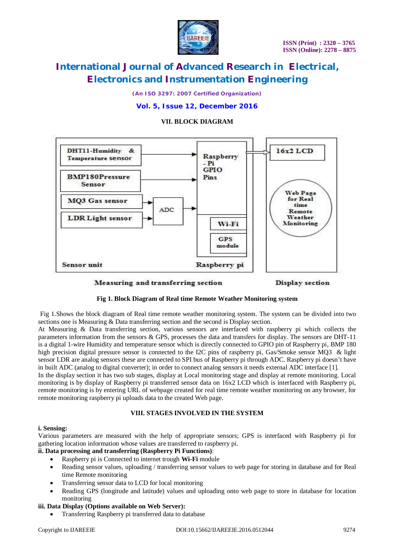

*(An ISO 3297: 2007 Certified Organization)*

### **Vol. 5, Issue 12, December 2016**

### **VII. BLOCK DIAGRAM**



Measuring and transferring section

Display section

### **Fig 1. Block Diagram of Real time Remote Weather Monitoring system**

Fig 1.Shows the block diagram of Real time remote weather monitoring system. The system can be divided into two sections one is Measuring & Data transferring section and the second is Display section.

At Measuring & Data transferring section, various sensors are interfaced with raspberry pi which collects the parameters information from the sensors & GPS, processes the data and transfers for display. The sensors are DHT-11 is a digital 1-wire Humidity and temperature sensor which is directly connected to GPIO pin of Raspberry pi, BMP 180 high precision digital pressure sensor is connected to the I2C pins of raspberry pi, Gas/Smoke sensor MQ3 & light sensor LDR are analog sensors these are connected to SPI bus of Raspberry pi through ADC. Raspberry pi doesn't have in built ADC (analog to digital converter); in order to connect analog sensors it needs external ADC interface [1].

In the display section it has two sub stages, display at Local monitoring stage and display at remote monitoring. Local monitoring is by display of Raspberry pi transferred sensor data on 16x2 LCD which is interfaced with Raspberry pi, remote monitoring is by entering URL of webpage created for real time remote weather monitoring on any browser, for remote monitoring raspberry pi uploads data to the created Web page.

### **VIII. STAGES INVOLVED IN THE SYSTEM**

### **i. Sensing:**

Various parameters are measured with the help of appropriate sensors; GPS is interfaced with Raspberry pi for gathering location information whose values are transferred to raspberry pi.

### **ii. Data processing and transferring (Raspberry Pi Functions)**:

- Raspberry pi is Connected to internet trough **Wi-Fi** module
- Reading sensor values, uploading / transferring sensor values to web page for storing in database and for Real time Remote monitoring
- Transferring sensor data to LCD for local monitoring
- Reading GPS (longitude and latitude) values and uploading onto web page to store in database for location monitoring

### **iii. Data Display (Options available on Web Server):**

Transferring Raspberry pi transferred data to database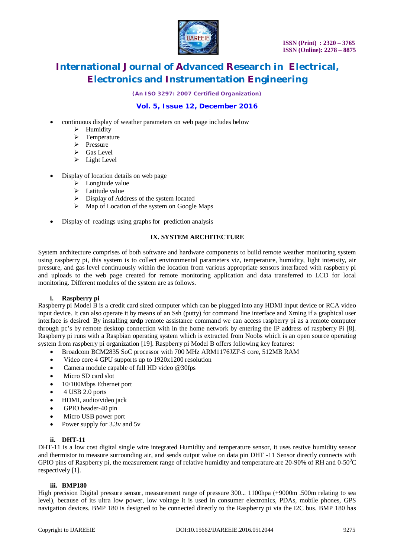

*(An ISO 3297: 2007 Certified Organization)*

### **Vol. 5, Issue 12, December 2016**

- continuous display of weather parameters on web page includes below
	- $\triangleright$  Humidity
	- $\triangleright$  Temperature
	- $\triangleright$  Pressure
	- $\triangleright$  Gas Level
	- $\triangleright$  Light Level
- Display of location details on web page
	- $\triangleright$  Longitude value
	- > Latitude value
	- $\triangleright$  Display of Address of the system located
	- $\triangleright$  Map of Location of the system on Google Maps
- Display of readings using graphs for prediction analysis

### **IX. SYSTEM ARCHITECTURE**

System architecture comprises of both software and hardware components to build remote weather monitoring system using raspberry pi, this system is to collect environmental parameters viz, temperature, humidity, light intensity, air pressure, and gas level continuously within the location from various appropriate sensors interfaced with raspberry pi and uploads to the web page created for remote monitoring application and data transferred to LCD for local monitoring. Different modules of the system are as follows.

### **i. Raspberry pi**

Raspberry pi Model B is a credit card sized computer which can be plugged into any HDMI input device or RCA video input device. It can also operate it by means of an Ssh (putty) for command line interface and Xming if a graphical user interface is desired. By installing **xrdp** remote assistance command we can access raspberry pi as a remote computer through pc's by remote desktop connection with in the home network by entering the IP address of raspberry Pi [8]. Raspberry pi runs with a Raspbian operating system which is extracted from Noobs which is an open source operating system from raspberry pi organization [19]. Raspberry pi Model B offers following key features:

- Broadcom BCM2835 SoC processor with 700 MHz ARM1176JZF-S core, 512MB RAM
- Video core 4 GPU supports up to 1920x1200 resolution
- Camera module capable of full HD video @30fps
- Micro SD card slot
- 10/100Mbps Ethernet port
- $\bullet$  4 USB 2.0 ports
- HDMI, audio/video jack
- GPIO header-40 pin
- Micro USB power port
- Power supply for 3.3v and 5v

### **ii. DHT-11**

DHT-11 is a low cost digital single wire integrated Humidity and temperature sensor, it uses restive humidity sensor and thermistor to measure surrounding air, and sends output value on data pin DHT -11 Sensor directly connects with GPIO pins of Raspberry pi, the measurement range of relative humidity and temperature are 20-90% of RH and  $0-50^{\circ}$ C respectively [1].

### **iii. BMP180**

High precision Digital pressure sensor, measurement range of pressure 300... 1100hpa (+9000m .500m relating to sea level), because of its ultra low power, low voltage it is used in consumer electronics, PDAs, mobile phones, GPS navigation devices. BMP 180 is designed to be connected directly to the Raspberry pi via the I2C bus. BMP 180 has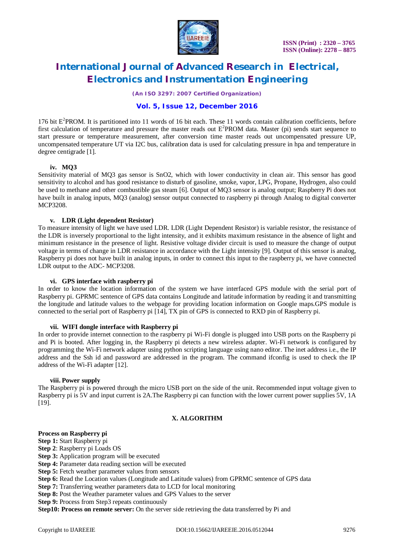

*(An ISO 3297: 2007 Certified Organization)*

### **Vol. 5, Issue 12, December 2016**

176 bit E<sup>2</sup>PROM. It is partitioned into 11 words of 16 bit each. These 11 words contain calibration coefficients, before first calculation of temperature and pressure the master reads out  $E^2$ PROM data. Master (pi) sends start sequence to start pressure or temperature measurement, after conversion time master reads out uncompensated pressure UP, uncompensated temperature UT via I2C bus, calibration data is used for calculating pressure in hpa and temperature in degree centigrade [1].

### **iv. MQ3**

Sensitivity material of MQ3 gas sensor is SnO2, which with lower conductivity in clean air. This sensor has good sensitivity to alcohol and has good resistance to disturb of gasoline, smoke, vapor, LPG, Propane, Hydrogen, also could be used to methane and other combustible gas steam [6]. Output of MQ3 sensor is analog output; Raspberry Pi does not have built in analog inputs, MQ3 (analog) sensor output connected to raspberry pi through Analog to digital converter MCP3208.

### **v. LDR (Light dependent Resistor)**

To measure intensity of light we have used LDR. LDR (Light Dependent Resistor) is variable resistor, the resistance of the LDR is inversely proportional to the light intensity, and it exhibits maximum resistance in the absence of light and minimum resistance in the presence of light. Resistive voltage divider circuit is used to measure the change of output voltage in terms of change in LDR resistance in accordance with the Light intensity [9]. Output of this sensor is analog, Raspberry pi does not have built in analog inputs, in order to connect this input to the raspberry pi, we have connected LDR output to the ADC- MCP3208.

#### **vi. GPS interface with raspberry pi**

In order to know the location information of the system we have interfaced GPS module with the serial port of Raspberry pi. GPRMC sentence of GPS data contains Longitude and latitude information by reading it and transmitting the longitude and latitude values to the webpage for providing location information on Google maps.GPS module is connected to the serial port of Raspberry pi [14], TX pin of GPS is connected to RXD pin of Raspberry pi.

#### **vii. WIFI dongle interface with Raspberry pi**

In order to provide internet connection to the raspberry pi Wi-Fi dongle is plugged into USB ports on the Raspberry pi and Pi is booted. After logging in, the Raspberry pi detects a new wireless adapter. Wi-Fi network is configured by programming the Wi-Fi network adapter using python scripting language using nano editor. The inet address i.e., the IP address and the Ssh id and password are addressed in the program. The command ifconfig is used to check the IP address of the Wi-Fi adapter [12].

#### **viii. Power supply**

The Raspberry pi is powered through the micro USB port on the side of the unit. Recommended input voltage given to Raspberry pi is 5V and input current is 2A.The Raspberry pi can function with the lower current power supplies 5V, 1A [19].

### **X. ALGORITHM**

### **Process on Raspberry pi**

**Step 1:** Start Raspberry pi

- **Step 2**: Raspberry pi Loads OS
- **Step 3:** Application program will be executed
- **Step 4:** Parameter data reading section will be executed
- **Step 5:** Fetch weather parameter values from sensors
- **Step 6:** Read the Location values (Longitude and Latitude values) from GPRMC sentence of GPS data
- **Step 7:** Transferring weather parameters data to LCD for local monitoring
- **Step 8:** Post the Weather parameter values and GPS Values to the server

**Step 9:** Process from Step3 repeats continuously

**Step10: Process on remote server:** On the server side retrieving the data transferred by Pi and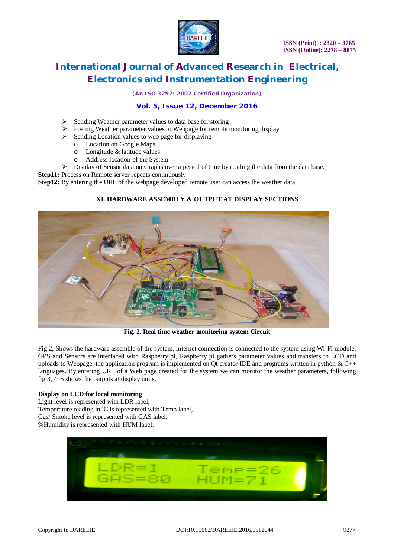

*(An ISO 3297: 2007 Certified Organization)*

### **Vol. 5, Issue 12, December 2016**

- $\triangleright$  Sending Weather parameter values to data base for storing
- Posting Weather parameter values to Webpage for remote monitoring display
- $\triangleright$  Sending Location values to web page for displaying
	- o Location on Google Maps
	- o Longitude & latitude values
	- o Address location of the System
- $\triangleright$  Display of Sensor data on Graphs over a period of time by reading the data from the data base.

**Step11:** Process on Remote server repeats continuously

**Step12:** By entering the URL of the webpage developed remote user can access the weather data

### **XI. HARDWARE ASSEMBLY & OUTPUT AT DISPLAY SECTIONS**



**Fig. 2. Real time weather monitoring system Circuit**

Fig 2, Shows the hardware assemble of the system, internet connection is connected to the system using Wi-Fi module, GPS and Sensors are interfaced with Raspberry pi, Raspberry pi gathers parameter values and transfers to LCD and uploads to Webpage, the application program is implemented on Ot creator IDE and programs written in python  $& C_{++}$ languages. By entering URL of a Web page created for the system we can monitor the weather parameters, following fig 3, 4, 5 shows the outputs at display units.

### **Display on LCD for local monitoring**

Light level is represented with LDR label, Temperature reading in °C is represented with Temp label, Gas/ Smoke level is represented with GAS label, %Humidity is represented with HUM label.

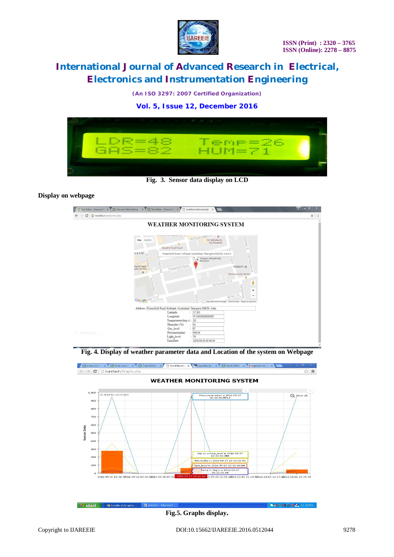

*(An ISO 3297: 2007 Certified Organization)*

**Vol. 5, Issue 12, December 2016**



**Fig. 3. Sensor data display on LCD**

### **Display on webpage**

| Text Editor - One.com Fili X C One.com Web hosting - X C Text Editor - One.com Fili X | h kurella.in/welcome.php X                                                                                                                                                                                                                                                          | × |
|---------------------------------------------------------------------------------------|-------------------------------------------------------------------------------------------------------------------------------------------------------------------------------------------------------------------------------------------------------------------------------------|---|
| 1 kurella.in/welcome.php<br>C                                                         |                                                                                                                                                                                                                                                                                     | ☆ |
|                                                                                       | <b>WEATHER MONITORING SYSTEM</b>                                                                                                                                                                                                                                                    |   |
| Map                                                                                   | service in three primers, \$18.<br>RK Puram Manyon<br>н<br><b>Humber</b><br>Sri Mahalaxmi<br>Satellite<br>Eye Hospital<br>Sizzlers Food Court<br>co                                                                                                                                 |   |
| 1k & ATM<br>ilsukhnagar <sup>®</sup><br>食                                             | PrasanSoft Road, Kothapet, Hyderabad, Telangana 500035, India X<br>g<br><b>U)</b><br>Bd Number<br>Num<br>Vaasavi Adhyatmika<br>ivi Colony Rd<br>정<br>г<br>Kendram<br>co.<br>PrasanSoft Road<br>Astalaxmi<br>co<br>Famous Sofa Works<br>Rd Number 3<br>Rd Number 11/5                |   |
|                                                                                       | Bd Number<br>÷<br>Rd No 1/A<br>Rd Nut<br>$\overline{\phantom{m}}$<br>Google mber 11/5<br>Map data @2016 Google Terms of Use Report a map error<br>Address : PrasanSoft Road, Kothapet, Hyderabad, Telangana 500035, India<br>Latitude<br>17.363<br>Longitude<br>: 78.54690000000005 |   |
| G Rectangular Snip                                                                    | Temperature(deg c):<br>29<br>Humidity (%)<br>64<br>$\frac{1}{2}$ 87<br>Gas_level<br>Pressure(mbar)<br>949.94<br>÷.<br>: 76<br>Light level<br>TimeDate<br>2016-09-28 20:46:04                                                                                                        |   |

**Fig. 4. Display of weather parameter data and Location of the system on Webpage**



**istart** ● **v** kurella.in/Graphs.... 图 p **OCO 4000 C** 12:10 PM **Fig.5. Graphs display.**